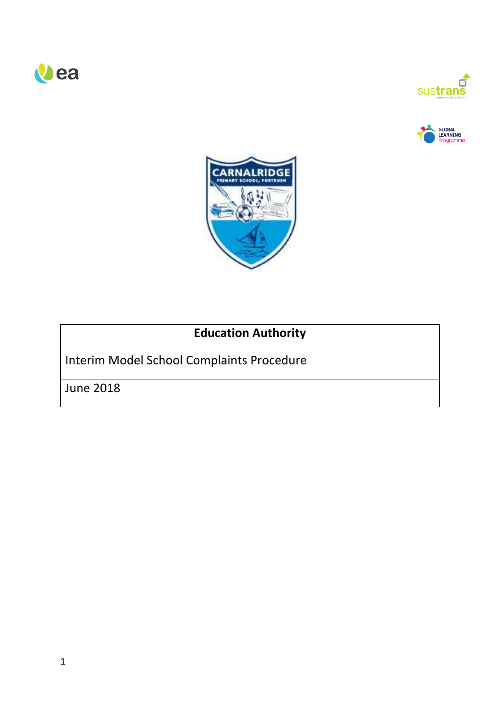







# **Education Authority**

Interim Model School Complaints Procedure

June 2018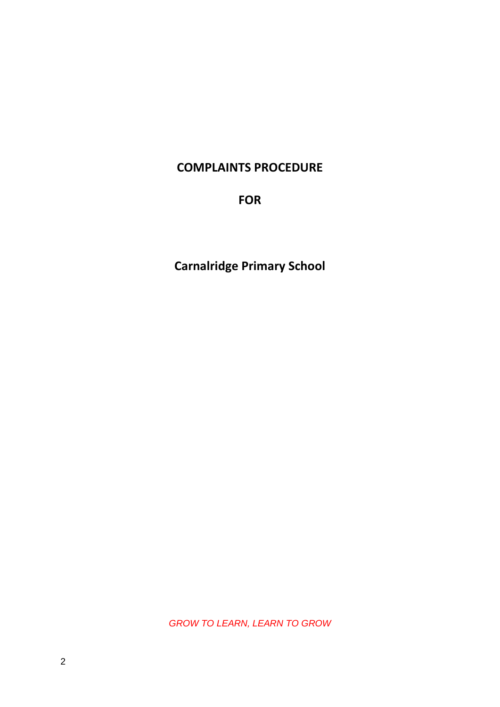## **COMPLAINTS PROCEDURE**

**FOR**

**Carnalridge Primary School**

*GROW TO LEARN, LEARN TO GROW*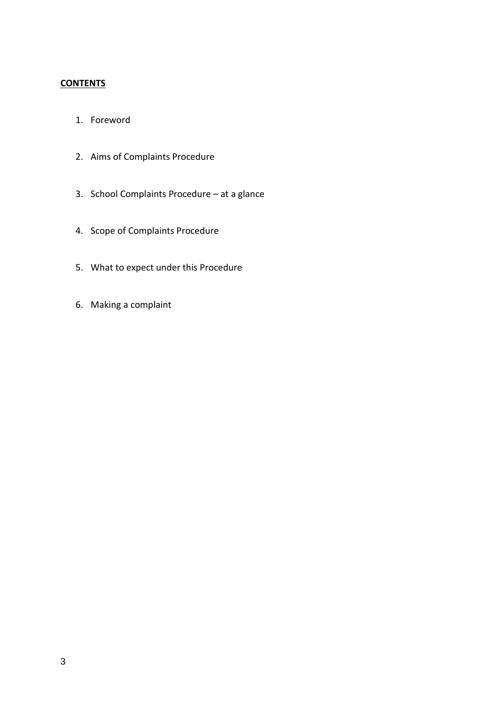### **CONTENTS**

- 1. Foreword
- 2. Aims of Complaints Procedure
- 3. School Complaints Procedure at a glance
- 4. Scope of Complaints Procedure
- 5. What to expect under this Procedure
- 6. Making a complaint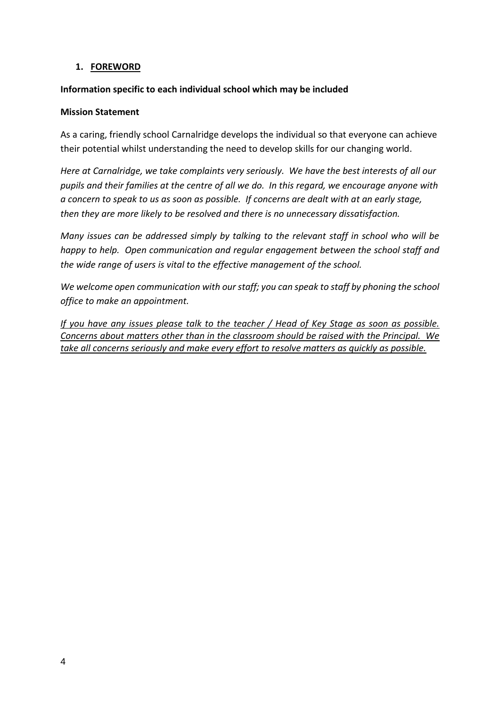### **1. FOREWORD**

### **Information specific to each individual school which may be included**

#### **Mission Statement**

As a caring, friendly school Carnalridge develops the individual so that everyone can achieve their potential whilst understanding the need to develop skills for our changing world.

*Here at Carnalridge, we take complaints very seriously. We have the best interests of all our pupils and their families at the centre of all we do. In this regard, we encourage anyone with a concern to speak to us as soon as possible. If concerns are dealt with at an early stage, then they are more likely to be resolved and there is no unnecessary dissatisfaction.*

*Many issues can be addressed simply by talking to the relevant staff in school who will be happy to help. Open communication and regular engagement between the school staff and the wide range of users is vital to the effective management of the school.* 

*We welcome open communication with our staff; you can speak to staff by phoning the school office to make an appointment.*

*If you have any issues please talk to the teacher / Head of Key Stage as soon as possible. Concerns about matters other than in the classroom should be raised with the Principal. We take all concerns seriously and make every effort to resolve matters as quickly as possible.*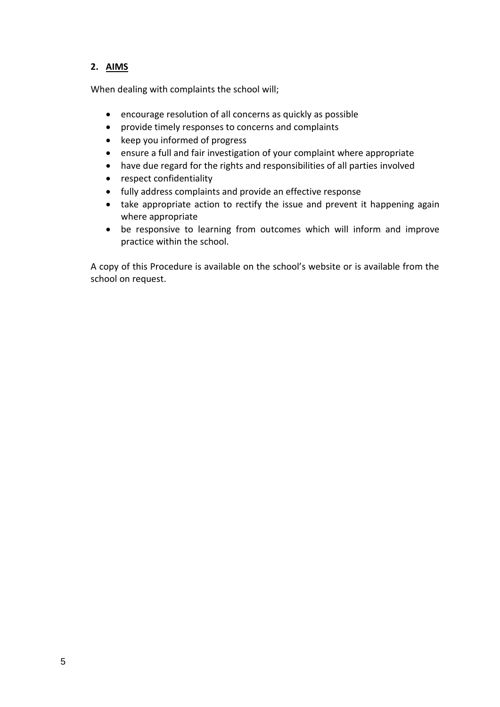### **2. AIMS**

When dealing with complaints the school will;

- encourage resolution of all concerns as quickly as possible
- provide timely responses to concerns and complaints
- keep you informed of progress
- ensure a full and fair investigation of your complaint where appropriate
- have due regard for the rights and responsibilities of all parties involved
- respect confidentiality
- fully address complaints and provide an effective response
- take appropriate action to rectify the issue and prevent it happening again where appropriate
- be responsive to learning from outcomes which will inform and improve practice within the school.

A copy of this Procedure is available on the school's website or is available from the school on request.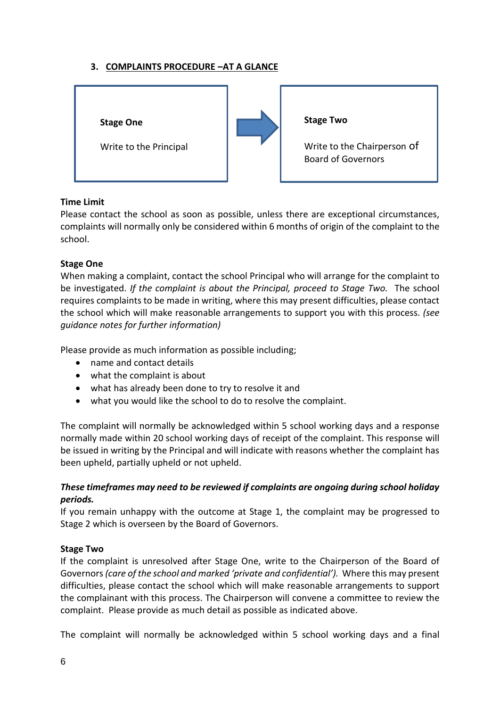### **3. COMPLAINTS PROCEDURE –AT A GLANCE**



### **Time Limit**

Please contact the school as soon as possible, unless there are exceptional circumstances, complaints will normally only be considered within 6 months of origin of the complaint to the school.

### **Stage One**

When making a complaint, contact the school Principal who will arrange for the complaint to be investigated. *If the complaint is about the Principal, proceed to Stage Two.* The school requires complaints to be made in writing, where this may present difficulties, please contact the school which will make reasonable arrangements to support you with this process. *(see guidance notes for further information)*

Please provide as much information as possible including;

- name and contact details
- what the complaint is about
- what has already been done to try to resolve it and
- what you would like the school to do to resolve the complaint.

The complaint will normally be acknowledged within 5 school working days and a response normally made within 20 school working days of receipt of the complaint. This response will be issued in writing by the Principal and will indicate with reasons whether the complaint has been upheld, partially upheld or not upheld.

### *These timeframes may need to be reviewed if complaints are ongoing during school holiday periods.*

If you remain unhappy with the outcome at Stage 1, the complaint may be progressed to Stage 2 which is overseen by the Board of Governors.

#### **Stage Two**

If the complaint is unresolved after Stage One, write to the Chairperson of the Board of Governors *(care of the school and marked 'private and confidential').* Where this may present difficulties, please contact the school which will make reasonable arrangements to support the complainant with this process. The Chairperson will convene a committee to review the complaint. Please provide as much detail as possible as indicated above.

The complaint will normally be acknowledged within 5 school working days and a final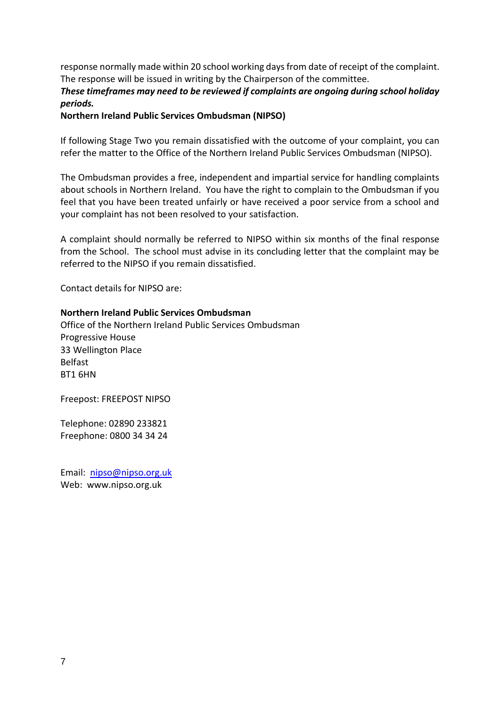response normally made within 20 school working days from date of receipt of the complaint. The response will be issued in writing by the Chairperson of the committee.

### *These timeframes may need to be reviewed if complaints are ongoing during school holiday periods.*

**Northern Ireland Public Services Ombudsman (NIPSO)**

If following Stage Two you remain dissatisfied with the outcome of your complaint, you can refer the matter to the Office of the Northern Ireland Public Services Ombudsman (NIPSO).

The Ombudsman provides a free, independent and impartial service for handling complaints about schools in Northern Ireland. You have the right to complain to the Ombudsman if you feel that you have been treated unfairly or have received a poor service from a school and your complaint has not been resolved to your satisfaction.

A complaint should normally be referred to NIPSO within six months of the final response from the School. The school must advise in its concluding letter that the complaint may be referred to the NIPSO if you remain dissatisfied.

Contact details for NIPSO are:

#### **Northern Ireland Public Services Ombudsman**

Office of the Northern Ireland Public Services Ombudsman Progressive House 33 Wellington Place Belfast BT1 6HN

Freepost: FREEPOST NIPSO

Telephone: 02890 233821 Freephone: 0800 34 34 24

Email: [nipso@nipso.org.uk](mailto:nipso@nipso.org.uk) Web: www.nipso.org.uk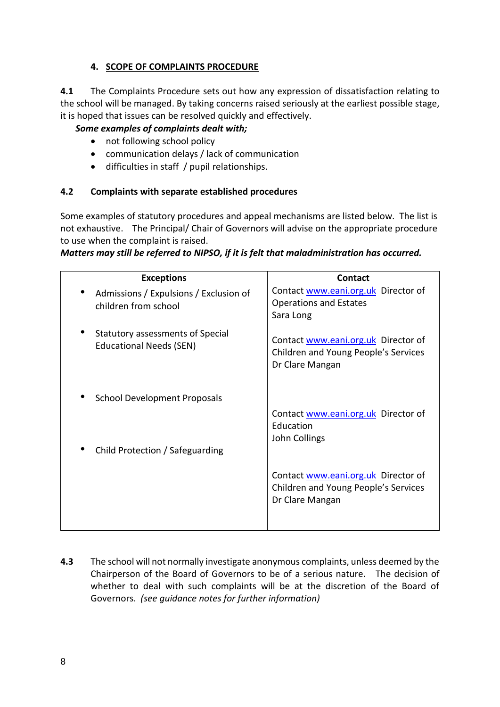### **4. SCOPE OF COMPLAINTS PROCEDURE**

**4.1** The Complaints Procedure sets out how any expression of dissatisfaction relating to the school will be managed. By taking concerns raised seriously at the earliest possible stage, it is hoped that issues can be resolved quickly and effectively.

### *Some examples of complaints dealt with;*

- not following school policy
- communication delays / lack of communication
- difficulties in staff / pupil relationships.

### **4.2 Complaints with separate established procedures**

Some examples of statutory procedures and appeal mechanisms are listed below. The list is not exhaustive. The Principal/ Chair of Governors will advise on the appropriate procedure to use when the complaint is raised.

| Matters may still be referred to NIPSO, if it is felt that maladministration has occurred. |
|--------------------------------------------------------------------------------------------|
|--------------------------------------------------------------------------------------------|

| <b>Exceptions</b>                                                  | Contact                                                                                        |
|--------------------------------------------------------------------|------------------------------------------------------------------------------------------------|
| Admissions / Expulsions / Exclusion of<br>children from school     | Contact www.eani.org.uk Director of<br><b>Operations and Estates</b><br>Sara Long              |
| Statutory assessments of Special<br><b>Educational Needs (SEN)</b> | Contact www.eani.org.uk Director of<br>Children and Young People's Services<br>Dr Clare Mangan |
| <b>School Development Proposals</b>                                |                                                                                                |
| Child Protection / Safeguarding                                    | Contact www.eani.org.uk Director of<br>Education<br>John Collings                              |
|                                                                    | Contact www.eani.org.uk Director of<br>Children and Young People's Services<br>Dr Clare Mangan |

**4.3** The school will not normally investigate anonymous complaints, unless deemed by the Chairperson of the Board of Governors to be of a serious nature. The decision of whether to deal with such complaints will be at the discretion of the Board of Governors. *(see guidance notes for further information)*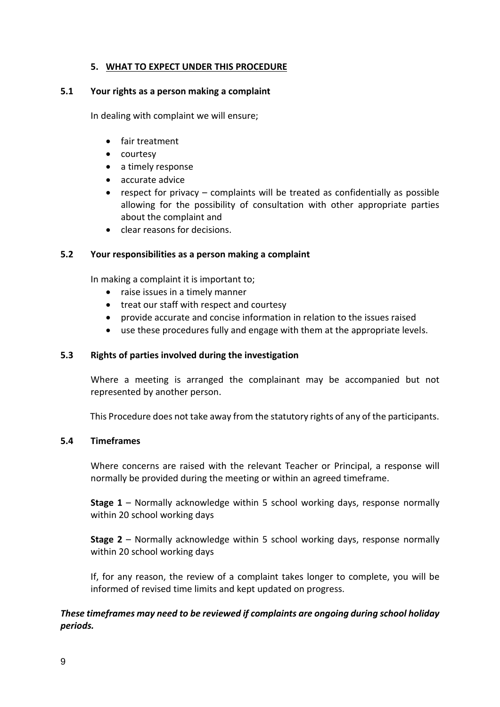### **5. WHAT TO EXPECT UNDER THIS PROCEDURE**

#### **5.1 Your rights as a person making a complaint**

In dealing with complaint we will ensure;

- fair treatment
- courtesy
- a timely response
- accurate advice
- respect for privacy complaints will be treated as confidentially as possible allowing for the possibility of consultation with other appropriate parties about the complaint and
- clear reasons for decisions.

#### **5.2 Your responsibilities as a person making a complaint**

In making a complaint it is important to;

- raise issues in a timely manner
- treat our staff with respect and courtesy
- provide accurate and concise information in relation to the issues raised
- use these procedures fully and engage with them at the appropriate levels.

#### **5.3 Rights of parties involved during the investigation**

Where a meeting is arranged the complainant may be accompanied but not represented by another person.

This Procedure does not take away from the statutory rights of any of the participants.

#### **5.4 Timeframes**

Where concerns are raised with the relevant Teacher or Principal, a response will normally be provided during the meeting or within an agreed timeframe.

**Stage 1** – Normally acknowledge within 5 school working days, response normally within 20 school working days

**Stage 2** – Normally acknowledge within 5 school working days, response normally within 20 school working days

If, for any reason, the review of a complaint takes longer to complete, you will be informed of revised time limits and kept updated on progress.

### *These timeframes may need to be reviewed if complaints are ongoing during school holiday periods.*